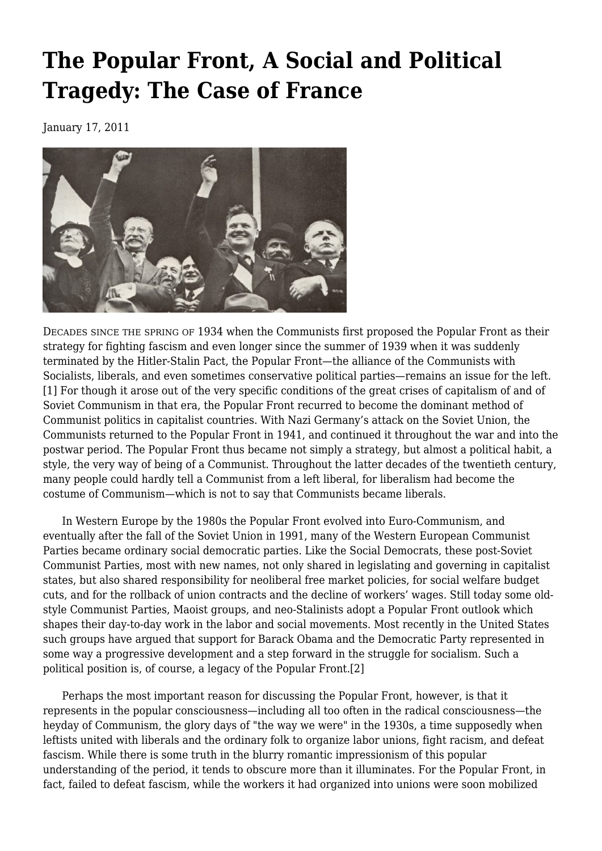# **[The Popular Front, A Social and Political](https://newpol.org/issue_post/popular-front-social-and-political-tragedy-case-france/) [Tragedy: The Case of France](https://newpol.org/issue_post/popular-front-social-and-political-tragedy-case-france/)**

January 17, 2011



DECADES SINCE THE SPRING OF 1934 when the Communists first proposed the Popular Front as their strategy for fighting fascism and even longer since the summer of 1939 when it was suddenly terminated by the Hitler-Stalin Pact, the Popular Front—the alliance of the Communists with Socialists, liberals, and even sometimes conservative political parties—remains an issue for the left. [1] For though it arose out of the very specific conditions of the great crises of capitalism of and of Soviet Communism in that era, the Popular Front recurred to become the dominant method of Communist politics in capitalist countries. With Nazi Germany's attack on the Soviet Union, the Communists returned to the Popular Front in 1941, and continued it throughout the war and into the postwar period. The Popular Front thus became not simply a strategy, but almost a political habit, a style, the very way of being of a Communist. Throughout the latter decades of the twentieth century, many people could hardly tell a Communist from a left liberal, for liberalism had become the costume of Communism—which is not to say that Communists became liberals.

 In Western Europe by the 1980s the Popular Front evolved into Euro-Communism, and eventually after the fall of the Soviet Union in 1991, many of the Western European Communist Parties became ordinary social democratic parties. Like the Social Democrats, these post-Soviet Communist Parties, most with new names, not only shared in legislating and governing in capitalist states, but also shared responsibility for neoliberal free market policies, for social welfare budget cuts, and for the rollback of union contracts and the decline of workers' wages. Still today some oldstyle Communist Parties, Maoist groups, and neo-Stalinists adopt a Popular Front outlook which shapes their day-to-day work in the labor and social movements. Most recently in the United States such groups have argued that support for Barack Obama and the Democratic Party represented in some way a progressive development and a step forward in the struggle for socialism. Such a political position is, of course, a legacy of the Popular Front.[2]

 Perhaps the most important reason for discussing the Popular Front, however, is that it represents in the popular consciousness—including all too often in the radical consciousness—the heyday of Communism, the glory days of "the way we were" in the 1930s, a time supposedly when leftists united with liberals and the ordinary folk to organize labor unions, fight racism, and defeat fascism. While there is some truth in the blurry romantic impressionism of this popular understanding of the period, it tends to obscure more than it illuminates. For the Popular Front, in fact, failed to defeat fascism, while the workers it had organized into unions were soon mobilized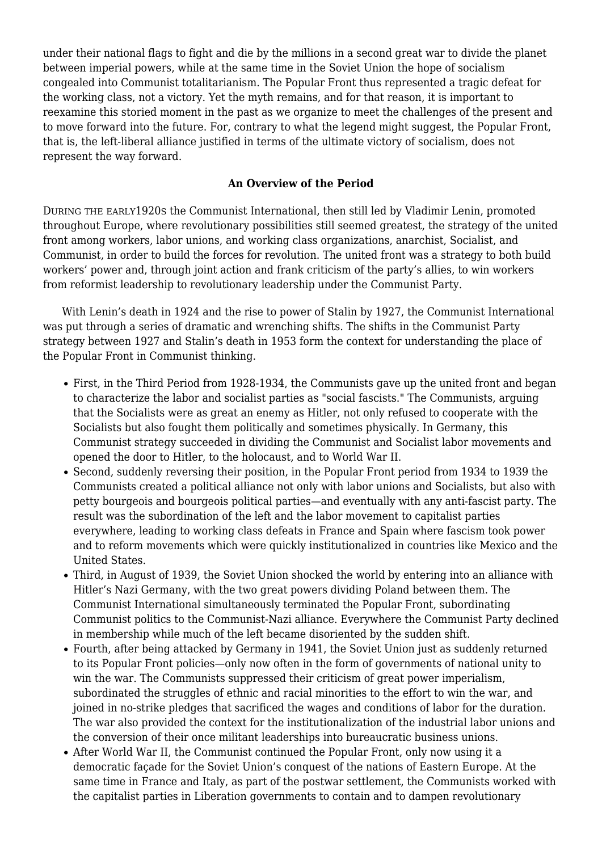under their national flags to fight and die by the millions in a second great war to divide the planet between imperial powers, while at the same time in the Soviet Union the hope of socialism congealed into Communist totalitarianism. The Popular Front thus represented a tragic defeat for the working class, not a victory. Yet the myth remains, and for that reason, it is important to reexamine this storied moment in the past as we organize to meet the challenges of the present and to move forward into the future. For, contrary to what the legend might suggest, the Popular Front, that is, the left-liberal alliance justified in terms of the ultimate victory of socialism, does not represent the way forward.

# **An Overview of the Period**

DURING THE EARLY1920S the Communist International, then still led by Vladimir Lenin, promoted throughout Europe, where revolutionary possibilities still seemed greatest, the strategy of the united front among workers, labor unions, and working class organizations, anarchist, Socialist, and Communist, in order to build the forces for revolution. The united front was a strategy to both build workers' power and, through joint action and frank criticism of the party's allies, to win workers from reformist leadership to revolutionary leadership under the Communist Party.

 With Lenin's death in 1924 and the rise to power of Stalin by 1927, the Communist International was put through a series of dramatic and wrenching shifts. The shifts in the Communist Party strategy between 1927 and Stalin's death in 1953 form the context for understanding the place of the Popular Front in Communist thinking.

- First, in the Third Period from 1928-1934, the Communists gave up the united front and began to characterize the labor and socialist parties as "social fascists." The Communists, arguing that the Socialists were as great an enemy as Hitler, not only refused to cooperate with the Socialists but also fought them politically and sometimes physically. In Germany, this Communist strategy succeeded in dividing the Communist and Socialist labor movements and opened the door to Hitler, to the holocaust, and to World War II.
- Second, suddenly reversing their position, in the Popular Front period from 1934 to 1939 the Communists created a political alliance not only with labor unions and Socialists, but also with petty bourgeois and bourgeois political parties—and eventually with any anti-fascist party. The result was the subordination of the left and the labor movement to capitalist parties everywhere, leading to working class defeats in France and Spain where fascism took power and to reform movements which were quickly institutionalized in countries like Mexico and the United States.
- Third, in August of 1939, the Soviet Union shocked the world by entering into an alliance with Hitler's Nazi Germany, with the two great powers dividing Poland between them. The Communist International simultaneously terminated the Popular Front, subordinating Communist politics to the Communist-Nazi alliance. Everywhere the Communist Party declined in membership while much of the left became disoriented by the sudden shift.
- Fourth, after being attacked by Germany in 1941, the Soviet Union just as suddenly returned to its Popular Front policies—only now often in the form of governments of national unity to win the war. The Communists suppressed their criticism of great power imperialism, subordinated the struggles of ethnic and racial minorities to the effort to win the war, and joined in no-strike pledges that sacrificed the wages and conditions of labor for the duration. The war also provided the context for the institutionalization of the industrial labor unions and the conversion of their once militant leaderships into bureaucratic business unions.
- After World War II, the Communist continued the Popular Front, only now using it a democratic façade for the Soviet Union's conquest of the nations of Eastern Europe. At the same time in France and Italy, as part of the postwar settlement, the Communists worked with the capitalist parties in Liberation governments to contain and to dampen revolutionary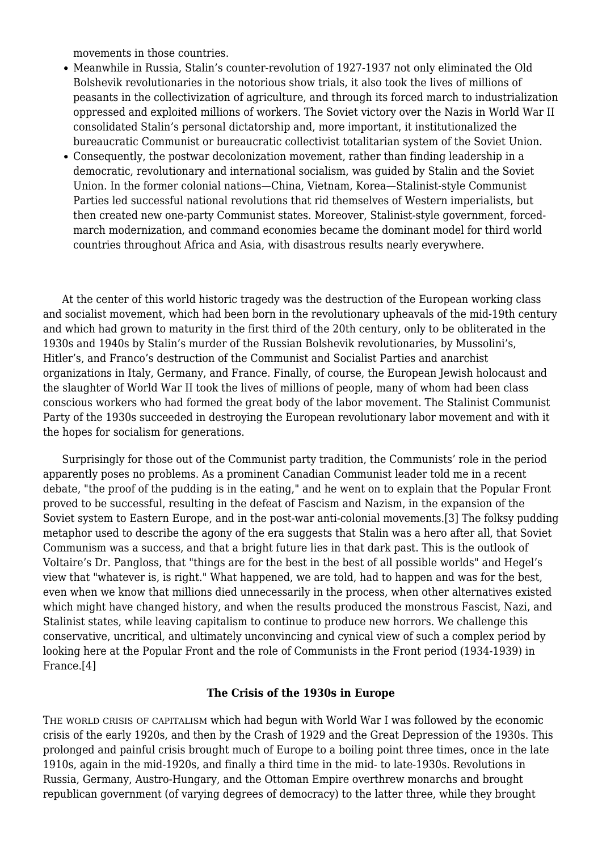movements in those countries.

- Meanwhile in Russia, Stalin's counter-revolution of 1927-1937 not only eliminated the Old Bolshevik revolutionaries in the notorious show trials, it also took the lives of millions of peasants in the collectivization of agriculture, and through its forced march to industrialization oppressed and exploited millions of workers. The Soviet victory over the Nazis in World War II consolidated Stalin's personal dictatorship and, more important, it institutionalized the bureaucratic Communist or bureaucratic collectivist totalitarian system of the Soviet Union.
- Consequently, the postwar decolonization movement, rather than finding leadership in a democratic, revolutionary and international socialism, was guided by Stalin and the Soviet Union. In the former colonial nations—China, Vietnam, Korea—Stalinist-style Communist Parties led successful national revolutions that rid themselves of Western imperialists, but then created new one-party Communist states. Moreover, Stalinist-style government, forcedmarch modernization, and command economies became the dominant model for third world countries throughout Africa and Asia, with disastrous results nearly everywhere.

 At the center of this world historic tragedy was the destruction of the European working class and socialist movement, which had been born in the revolutionary upheavals of the mid-19th century and which had grown to maturity in the first third of the 20th century, only to be obliterated in the 1930s and 1940s by Stalin's murder of the Russian Bolshevik revolutionaries, by Mussolini's, Hitler's, and Franco's destruction of the Communist and Socialist Parties and anarchist organizations in Italy, Germany, and France. Finally, of course, the European Jewish holocaust and the slaughter of World War II took the lives of millions of people, many of whom had been class conscious workers who had formed the great body of the labor movement. The Stalinist Communist Party of the 1930s succeeded in destroying the European revolutionary labor movement and with it the hopes for socialism for generations.

 Surprisingly for those out of the Communist party tradition, the Communists' role in the period apparently poses no problems. As a prominent Canadian Communist leader told me in a recent debate, "the proof of the pudding is in the eating," and he went on to explain that the Popular Front proved to be successful, resulting in the defeat of Fascism and Nazism, in the expansion of the Soviet system to Eastern Europe, and in the post-war anti-colonial movements.[3] The folksy pudding metaphor used to describe the agony of the era suggests that Stalin was a hero after all, that Soviet Communism was a success, and that a bright future lies in that dark past. This is the outlook of Voltaire's Dr. Pangloss, that "things are for the best in the best of all possible worlds" and Hegel's view that "whatever is, is right." What happened, we are told, had to happen and was for the best, even when we know that millions died unnecessarily in the process, when other alternatives existed which might have changed history, and when the results produced the monstrous Fascist, Nazi, and Stalinist states, while leaving capitalism to continue to produce new horrors. We challenge this conservative, uncritical, and ultimately unconvincing and cynical view of such a complex period by looking here at the Popular Front and the role of Communists in the Front period (1934-1939) in France.[4]

# **The Crisis of the 1930s in Europe**

THE WORLD CRISIS OF CAPITALISM which had begun with World War I was followed by the economic crisis of the early 1920s, and then by the Crash of 1929 and the Great Depression of the 1930s. This prolonged and painful crisis brought much of Europe to a boiling point three times, once in the late 1910s, again in the mid-1920s, and finally a third time in the mid- to late-1930s. Revolutions in Russia, Germany, Austro-Hungary, and the Ottoman Empire overthrew monarchs and brought republican government (of varying degrees of democracy) to the latter three, while they brought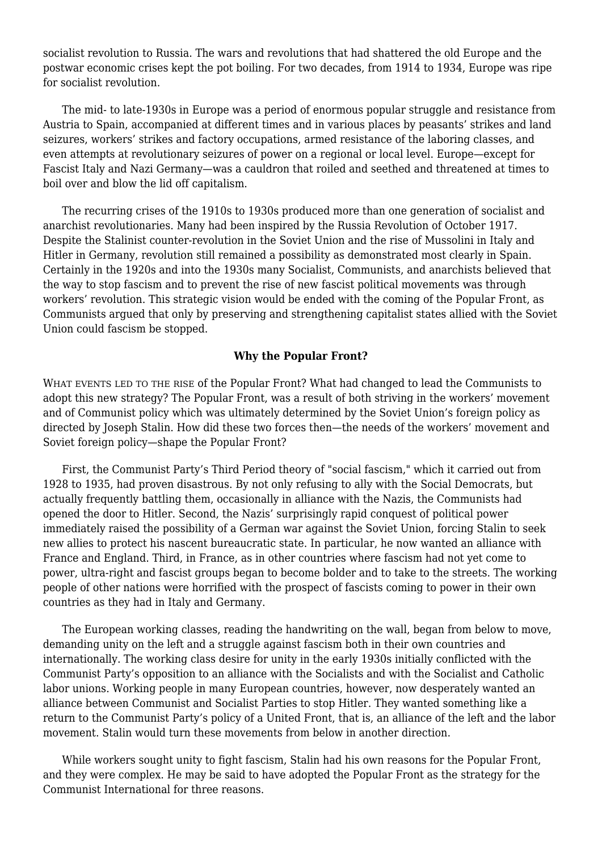socialist revolution to Russia. The wars and revolutions that had shattered the old Europe and the postwar economic crises kept the pot boiling. For two decades, from 1914 to 1934, Europe was ripe for socialist revolution.

 The mid- to late-1930s in Europe was a period of enormous popular struggle and resistance from Austria to Spain, accompanied at different times and in various places by peasants' strikes and land seizures, workers' strikes and factory occupations, armed resistance of the laboring classes, and even attempts at revolutionary seizures of power on a regional or local level. Europe—except for Fascist Italy and Nazi Germany—was a cauldron that roiled and seethed and threatened at times to boil over and blow the lid off capitalism.

 The recurring crises of the 1910s to 1930s produced more than one generation of socialist and anarchist revolutionaries. Many had been inspired by the Russia Revolution of October 1917. Despite the Stalinist counter-revolution in the Soviet Union and the rise of Mussolini in Italy and Hitler in Germany, revolution still remained a possibility as demonstrated most clearly in Spain. Certainly in the 1920s and into the 1930s many Socialist, Communists, and anarchists believed that the way to stop fascism and to prevent the rise of new fascist political movements was through workers' revolution. This strategic vision would be ended with the coming of the Popular Front, as Communists argued that only by preserving and strengthening capitalist states allied with the Soviet Union could fascism be stopped.

#### **Why the Popular Front?**

WHAT EVENTS LED TO THE RISE of the Popular Front? What had changed to lead the Communists to adopt this new strategy? The Popular Front, was a result of both striving in the workers' movement and of Communist policy which was ultimately determined by the Soviet Union's foreign policy as directed by Joseph Stalin. How did these two forces then—the needs of the workers' movement and Soviet foreign policy—shape the Popular Front?

 First, the Communist Party's Third Period theory of "social fascism," which it carried out from 1928 to 1935, had proven disastrous. By not only refusing to ally with the Social Democrats, but actually frequently battling them, occasionally in alliance with the Nazis, the Communists had opened the door to Hitler. Second, the Nazis' surprisingly rapid conquest of political power immediately raised the possibility of a German war against the Soviet Union, forcing Stalin to seek new allies to protect his nascent bureaucratic state. In particular, he now wanted an alliance with France and England. Third, in France, as in other countries where fascism had not yet come to power, ultra-right and fascist groups began to become bolder and to take to the streets. The working people of other nations were horrified with the prospect of fascists coming to power in their own countries as they had in Italy and Germany.

 The European working classes, reading the handwriting on the wall, began from below to move, demanding unity on the left and a struggle against fascism both in their own countries and internationally. The working class desire for unity in the early 1930s initially conflicted with the Communist Party's opposition to an alliance with the Socialists and with the Socialist and Catholic labor unions. Working people in many European countries, however, now desperately wanted an alliance between Communist and Socialist Parties to stop Hitler. They wanted something like a return to the Communist Party's policy of a United Front, that is, an alliance of the left and the labor movement. Stalin would turn these movements from below in another direction.

 While workers sought unity to fight fascism, Stalin had his own reasons for the Popular Front, and they were complex. He may be said to have adopted the Popular Front as the strategy for the Communist International for three reasons.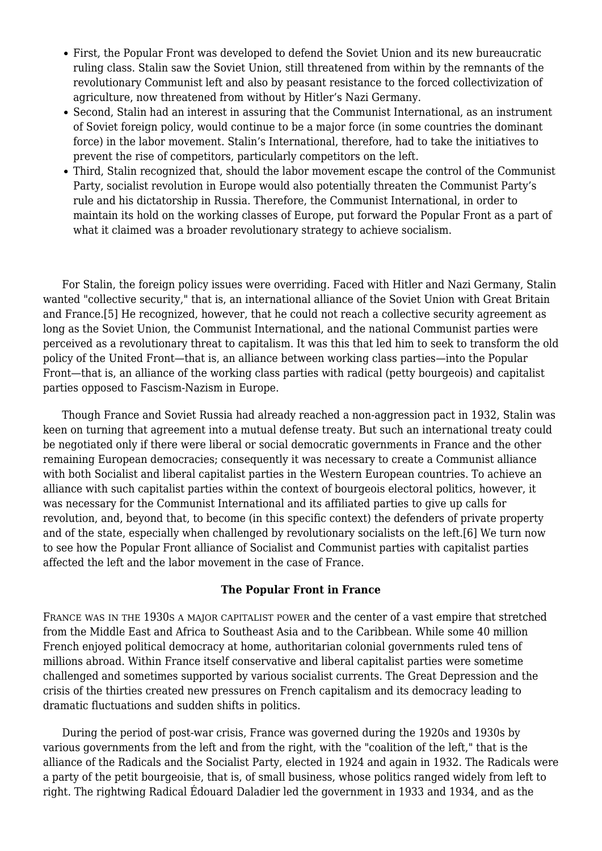- First, the Popular Front was developed to defend the Soviet Union and its new bureaucratic ruling class. Stalin saw the Soviet Union, still threatened from within by the remnants of the revolutionary Communist left and also by peasant resistance to the forced collectivization of agriculture, now threatened from without by Hitler's Nazi Germany.
- Second, Stalin had an interest in assuring that the Communist International, as an instrument of Soviet foreign policy, would continue to be a major force (in some countries the dominant force) in the labor movement. Stalin's International, therefore, had to take the initiatives to prevent the rise of competitors, particularly competitors on the left.
- Third, Stalin recognized that, should the labor movement escape the control of the Communist Party, socialist revolution in Europe would also potentially threaten the Communist Party's rule and his dictatorship in Russia. Therefore, the Communist International, in order to maintain its hold on the working classes of Europe, put forward the Popular Front as a part of what it claimed was a broader revolutionary strategy to achieve socialism.

 For Stalin, the foreign policy issues were overriding. Faced with Hitler and Nazi Germany, Stalin wanted "collective security," that is, an international alliance of the Soviet Union with Great Britain and France.[5] He recognized, however, that he could not reach a collective security agreement as long as the Soviet Union, the Communist International, and the national Communist parties were perceived as a revolutionary threat to capitalism. It was this that led him to seek to transform the old policy of the United Front—that is, an alliance between working class parties—into the Popular Front—that is, an alliance of the working class parties with radical (petty bourgeois) and capitalist parties opposed to Fascism-Nazism in Europe.

 Though France and Soviet Russia had already reached a non-aggression pact in 1932, Stalin was keen on turning that agreement into a mutual defense treaty. But such an international treaty could be negotiated only if there were liberal or social democratic governments in France and the other remaining European democracies; consequently it was necessary to create a Communist alliance with both Socialist and liberal capitalist parties in the Western European countries. To achieve an alliance with such capitalist parties within the context of bourgeois electoral politics, however, it was necessary for the Communist International and its affiliated parties to give up calls for revolution, and, beyond that, to become (in this specific context) the defenders of private property and of the state, especially when challenged by revolutionary socialists on the left.[6] We turn now to see how the Popular Front alliance of Socialist and Communist parties with capitalist parties affected the left and the labor movement in the case of France.

# **The Popular Front in France**

FRANCE WAS IN THE 1930S A MAJOR CAPITALIST POWER and the center of a vast empire that stretched from the Middle East and Africa to Southeast Asia and to the Caribbean. While some 40 million French enjoyed political democracy at home, authoritarian colonial governments ruled tens of millions abroad. Within France itself conservative and liberal capitalist parties were sometime challenged and sometimes supported by various socialist currents. The Great Depression and the crisis of the thirties created new pressures on French capitalism and its democracy leading to dramatic fluctuations and sudden shifts in politics.

 During the period of post-war crisis, France was governed during the 1920s and 1930s by various governments from the left and from the right, with the "coalition of the left," that is the alliance of the Radicals and the Socialist Party, elected in 1924 and again in 1932. The Radicals were a party of the petit bourgeoisie, that is, of small business, whose politics ranged widely from left to right. The rightwing Radical Édouard Daladier led the government in 1933 and 1934, and as the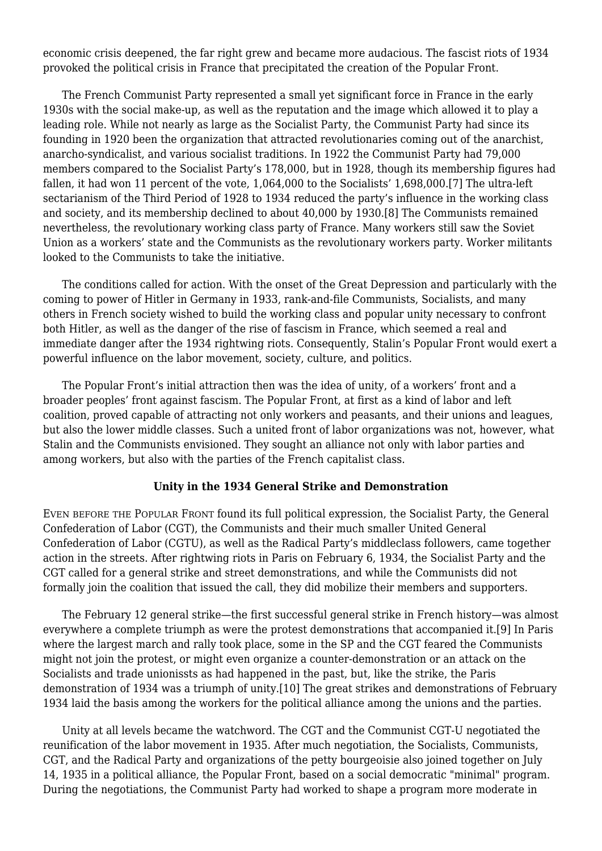economic crisis deepened, the far right grew and became more audacious. The fascist riots of 1934 provoked the political crisis in France that precipitated the creation of the Popular Front.

 The French Communist Party represented a small yet significant force in France in the early 1930s with the social make-up, as well as the reputation and the image which allowed it to play a leading role. While not nearly as large as the Socialist Party, the Communist Party had since its founding in 1920 been the organization that attracted revolutionaries coming out of the anarchist, anarcho-syndicalist, and various socialist traditions. In 1922 the Communist Party had 79,000 members compared to the Socialist Party's 178,000, but in 1928, though its membership figures had fallen, it had won 11 percent of the vote, 1,064,000 to the Socialists' 1,698,000.[7] The ultra-left sectarianism of the Third Period of 1928 to 1934 reduced the party's influence in the working class and society, and its membership declined to about 40,000 by 1930.[8] The Communists remained nevertheless, the revolutionary working class party of France. Many workers still saw the Soviet Union as a workers' state and the Communists as the revolutionary workers party. Worker militants looked to the Communists to take the initiative.

 The conditions called for action. With the onset of the Great Depression and particularly with the coming to power of Hitler in Germany in 1933, rank-and-file Communists, Socialists, and many others in French society wished to build the working class and popular unity necessary to confront both Hitler, as well as the danger of the rise of fascism in France, which seemed a real and immediate danger after the 1934 rightwing riots. Consequently, Stalin's Popular Front would exert a powerful influence on the labor movement, society, culture, and politics.

 The Popular Front's initial attraction then was the idea of unity, of a workers' front and a broader peoples' front against fascism. The Popular Front, at first as a kind of labor and left coalition, proved capable of attracting not only workers and peasants, and their unions and leagues, but also the lower middle classes. Such a united front of labor organizations was not, however, what Stalin and the Communists envisioned. They sought an alliance not only with labor parties and among workers, but also with the parties of the French capitalist class.

# **Unity in the 1934 General Strike and Demonstration**

EVEN BEFORE THE POPULAR FRONT found its full political expression, the Socialist Party, the General Confederation of Labor (CGT), the Communists and their much smaller United General Confederation of Labor (CGTU), as well as the Radical Party's middleclass followers, came together action in the streets. After rightwing riots in Paris on February 6, 1934, the Socialist Party and the CGT called for a general strike and street demonstrations, and while the Communists did not formally join the coalition that issued the call, they did mobilize their members and supporters.

 The February 12 general strike—the first successful general strike in French history—was almost everywhere a complete triumph as were the protest demonstrations that accompanied it.[9] In Paris where the largest march and rally took place, some in the SP and the CGT feared the Communists might not join the protest, or might even organize a counter-demonstration or an attack on the Socialists and trade unionissts as had happened in the past, but, like the strike, the Paris demonstration of 1934 was a triumph of unity.[10] The great strikes and demonstrations of February 1934 laid the basis among the workers for the political alliance among the unions and the parties.

 Unity at all levels became the watchword. The CGT and the Communist CGT-U negotiated the reunification of the labor movement in 1935. After much negotiation, the Socialists, Communists, CGT, and the Radical Party and organizations of the petty bourgeoisie also joined together on July 14, 1935 in a political alliance, the Popular Front, based on a social democratic "minimal" program. During the negotiations, the Communist Party had worked to shape a program more moderate in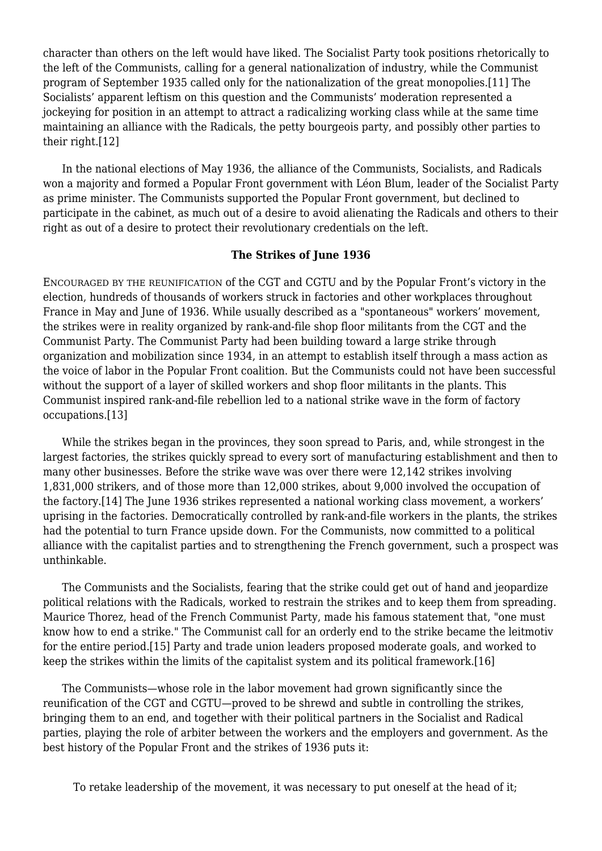character than others on the left would have liked. The Socialist Party took positions rhetorically to the left of the Communists, calling for a general nationalization of industry, while the Communist program of September 1935 called only for the nationalization of the great monopolies.[11] The Socialists' apparent leftism on this question and the Communists' moderation represented a jockeying for position in an attempt to attract a radicalizing working class while at the same time maintaining an alliance with the Radicals, the petty bourgeois party, and possibly other parties to their right.[12]

 In the national elections of May 1936, the alliance of the Communists, Socialists, and Radicals won a majority and formed a Popular Front government with Léon Blum, leader of the Socialist Party as prime minister. The Communists supported the Popular Front government, but declined to participate in the cabinet, as much out of a desire to avoid alienating the Radicals and others to their right as out of a desire to protect their revolutionary credentials on the left.

#### **The Strikes of June 1936**

ENCOURAGED BY THE REUNIFICATION of the CGT and CGTU and by the Popular Front's victory in the election, hundreds of thousands of workers struck in factories and other workplaces throughout France in May and June of 1936. While usually described as a "spontaneous" workers' movement, the strikes were in reality organized by rank-and-file shop floor militants from the CGT and the Communist Party. The Communist Party had been building toward a large strike through organization and mobilization since 1934, in an attempt to establish itself through a mass action as the voice of labor in the Popular Front coalition. But the Communists could not have been successful without the support of a layer of skilled workers and shop floor militants in the plants. This Communist inspired rank-and-file rebellion led to a national strike wave in the form of factory occupations.[13]

 While the strikes began in the provinces, they soon spread to Paris, and, while strongest in the largest factories, the strikes quickly spread to every sort of manufacturing establishment and then to many other businesses. Before the strike wave was over there were 12,142 strikes involving 1,831,000 strikers, and of those more than 12,000 strikes, about 9,000 involved the occupation of the factory.[14] The June 1936 strikes represented a national working class movement, a workers' uprising in the factories. Democratically controlled by rank-and-file workers in the plants, the strikes had the potential to turn France upside down. For the Communists, now committed to a political alliance with the capitalist parties and to strengthening the French government, such a prospect was unthinkable.

 The Communists and the Socialists, fearing that the strike could get out of hand and jeopardize political relations with the Radicals, worked to restrain the strikes and to keep them from spreading. Maurice Thorez, head of the French Communist Party, made his famous statement that, "one must know how to end a strike." The Communist call for an orderly end to the strike became the leitmotiv for the entire period.[15] Party and trade union leaders proposed moderate goals, and worked to keep the strikes within the limits of the capitalist system and its political framework.[16]

 The Communists—whose role in the labor movement had grown significantly since the reunification of the CGT and CGTU—proved to be shrewd and subtle in controlling the strikes, bringing them to an end, and together with their political partners in the Socialist and Radical parties, playing the role of arbiter between the workers and the employers and government. As the best history of the Popular Front and the strikes of 1936 puts it:

To retake leadership of the movement, it was necessary to put oneself at the head of it;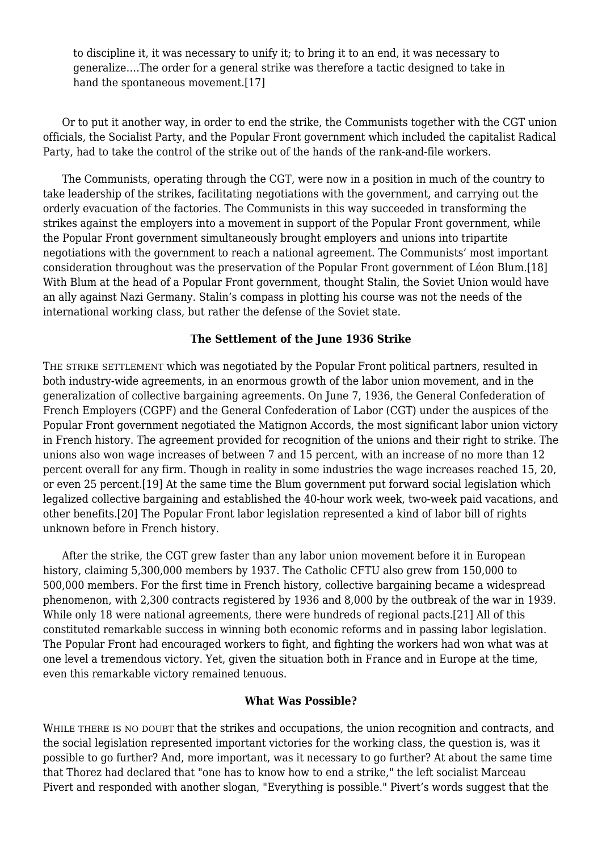to discipline it, it was necessary to unify it; to bring it to an end, it was necessary to generalize….The order for a general strike was therefore a tactic designed to take in hand the spontaneous movement.[17]

 Or to put it another way, in order to end the strike, the Communists together with the CGT union officials, the Socialist Party, and the Popular Front government which included the capitalist Radical Party, had to take the control of the strike out of the hands of the rank-and-file workers.

 The Communists, operating through the CGT, were now in a position in much of the country to take leadership of the strikes, facilitating negotiations with the government, and carrying out the orderly evacuation of the factories. The Communists in this way succeeded in transforming the strikes against the employers into a movement in support of the Popular Front government, while the Popular Front government simultaneously brought employers and unions into tripartite negotiations with the government to reach a national agreement. The Communists' most important consideration throughout was the preservation of the Popular Front government of Léon Blum.[18] With Blum at the head of a Popular Front government, thought Stalin, the Soviet Union would have an ally against Nazi Germany. Stalin's compass in plotting his course was not the needs of the international working class, but rather the defense of the Soviet state.

# **The Settlement of the June 1936 Strike**

THE STRIKE SETTLEMENT which was negotiated by the Popular Front political partners, resulted in both industry-wide agreements, in an enormous growth of the labor union movement, and in the generalization of collective bargaining agreements. On June 7, 1936, the General Confederation of French Employers (CGPF) and the General Confederation of Labor (CGT) under the auspices of the Popular Front government negotiated the Matignon Accords, the most significant labor union victory in French history. The agreement provided for recognition of the unions and their right to strike. The unions also won wage increases of between 7 and 15 percent, with an increase of no more than 12 percent overall for any firm. Though in reality in some industries the wage increases reached 15, 20, or even 25 percent.[19] At the same time the Blum government put forward social legislation which legalized collective bargaining and established the 40-hour work week, two-week paid vacations, and other benefits.[20] The Popular Front labor legislation represented a kind of labor bill of rights unknown before in French history.

 After the strike, the CGT grew faster than any labor union movement before it in European history, claiming 5,300,000 members by 1937. The Catholic CFTU also grew from 150,000 to 500,000 members. For the first time in French history, collective bargaining became a widespread phenomenon, with 2,300 contracts registered by 1936 and 8,000 by the outbreak of the war in 1939. While only 18 were national agreements, there were hundreds of regional pacts.[21] All of this constituted remarkable success in winning both economic reforms and in passing labor legislation. The Popular Front had encouraged workers to fight, and fighting the workers had won what was at one level a tremendous victory. Yet, given the situation both in France and in Europe at the time, even this remarkable victory remained tenuous.

# **What Was Possible?**

WHILE THERE IS NO DOUBT that the strikes and occupations, the union recognition and contracts, and the social legislation represented important victories for the working class, the question is, was it possible to go further? And, more important, was it necessary to go further? At about the same time that Thorez had declared that "one has to know how to end a strike," the left socialist Marceau Pivert and responded with another slogan, "Everything is possible." Pivert's words suggest that the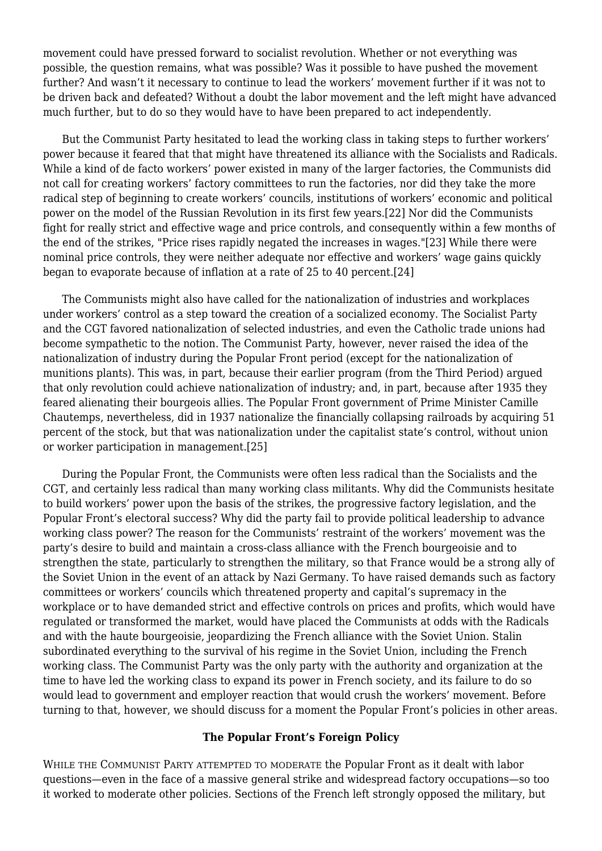movement could have pressed forward to socialist revolution. Whether or not everything was possible, the question remains, what was possible? Was it possible to have pushed the movement further? And wasn't it necessary to continue to lead the workers' movement further if it was not to be driven back and defeated? Without a doubt the labor movement and the left might have advanced much further, but to do so they would have to have been prepared to act independently.

 But the Communist Party hesitated to lead the working class in taking steps to further workers' power because it feared that that might have threatened its alliance with the Socialists and Radicals. While a kind of de facto workers' power existed in many of the larger factories, the Communists did not call for creating workers' factory committees to run the factories, nor did they take the more radical step of beginning to create workers' councils, institutions of workers' economic and political power on the model of the Russian Revolution in its first few years.[22] Nor did the Communists fight for really strict and effective wage and price controls, and consequently within a few months of the end of the strikes, "Price rises rapidly negated the increases in wages."[23] While there were nominal price controls, they were neither adequate nor effective and workers' wage gains quickly began to evaporate because of inflation at a rate of 25 to 40 percent.[24]

 The Communists might also have called for the nationalization of industries and workplaces under workers' control as a step toward the creation of a socialized economy. The Socialist Party and the CGT favored nationalization of selected industries, and even the Catholic trade unions had become sympathetic to the notion. The Communist Party, however, never raised the idea of the nationalization of industry during the Popular Front period (except for the nationalization of munitions plants). This was, in part, because their earlier program (from the Third Period) argued that only revolution could achieve nationalization of industry; and, in part, because after 1935 they feared alienating their bourgeois allies. The Popular Front government of Prime Minister Camille Chautemps, nevertheless, did in 1937 nationalize the financially collapsing railroads by acquiring 51 percent of the stock, but that was nationalization under the capitalist state's control, without union or worker participation in management.[25]

 During the Popular Front, the Communists were often less radical than the Socialists and the CGT, and certainly less radical than many working class militants. Why did the Communists hesitate to build workers' power upon the basis of the strikes, the progressive factory legislation, and the Popular Front's electoral success? Why did the party fail to provide political leadership to advance working class power? The reason for the Communists' restraint of the workers' movement was the party's desire to build and maintain a cross-class alliance with the French bourgeoisie and to strengthen the state, particularly to strengthen the military, so that France would be a strong ally of the Soviet Union in the event of an attack by Nazi Germany. To have raised demands such as factory committees or workers' councils which threatened property and capital's supremacy in the workplace or to have demanded strict and effective controls on prices and profits, which would have regulated or transformed the market, would have placed the Communists at odds with the Radicals and with the haute bourgeoisie, jeopardizing the French alliance with the Soviet Union. Stalin subordinated everything to the survival of his regime in the Soviet Union, including the French working class. The Communist Party was the only party with the authority and organization at the time to have led the working class to expand its power in French society, and its failure to do so would lead to government and employer reaction that would crush the workers' movement. Before turning to that, however, we should discuss for a moment the Popular Front's policies in other areas.

#### **The Popular Front's Foreign Policy**

WHILE THE COMMUNIST PARTY ATTEMPTED TO MODERATE the Popular Front as it dealt with labor questions—even in the face of a massive general strike and widespread factory occupations—so too it worked to moderate other policies. Sections of the French left strongly opposed the military, but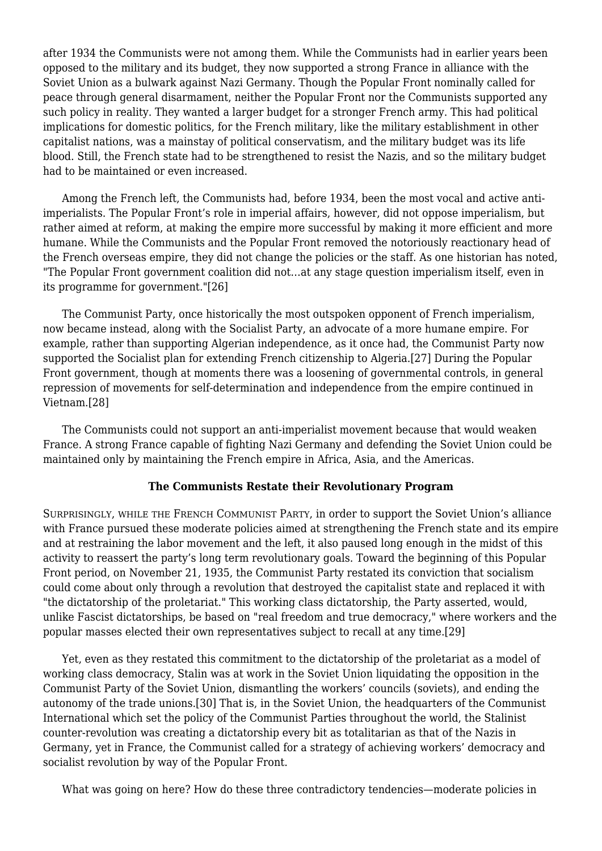after 1934 the Communists were not among them. While the Communists had in earlier years been opposed to the military and its budget, they now supported a strong France in alliance with the Soviet Union as a bulwark against Nazi Germany. Though the Popular Front nominally called for peace through general disarmament, neither the Popular Front nor the Communists supported any such policy in reality. They wanted a larger budget for a stronger French army. This had political implications for domestic politics, for the French military, like the military establishment in other capitalist nations, was a mainstay of political conservatism, and the military budget was its life blood. Still, the French state had to be strengthened to resist the Nazis, and so the military budget had to be maintained or even increased.

 Among the French left, the Communists had, before 1934, been the most vocal and active antiimperialists. The Popular Front's role in imperial affairs, however, did not oppose imperialism, but rather aimed at reform, at making the empire more successful by making it more efficient and more humane. While the Communists and the Popular Front removed the notoriously reactionary head of the French overseas empire, they did not change the policies or the staff. As one historian has noted, "The Popular Front government coalition did not…at any stage question imperialism itself, even in its programme for government."[26]

 The Communist Party, once historically the most outspoken opponent of French imperialism, now became instead, along with the Socialist Party, an advocate of a more humane empire. For example, rather than supporting Algerian independence, as it once had, the Communist Party now supported the Socialist plan for extending French citizenship to Algeria.[27] During the Popular Front government, though at moments there was a loosening of governmental controls, in general repression of movements for self-determination and independence from the empire continued in Vietnam.[28]

 The Communists could not support an anti-imperialist movement because that would weaken France. A strong France capable of fighting Nazi Germany and defending the Soviet Union could be maintained only by maintaining the French empire in Africa, Asia, and the Americas.

# **The Communists Restate their Revolutionary Program**

SURPRISINGLY, WHILE THE FRENCH COMMUNIST PARTY, in order to support the Soviet Union's alliance with France pursued these moderate policies aimed at strengthening the French state and its empire and at restraining the labor movement and the left, it also paused long enough in the midst of this activity to reassert the party's long term revolutionary goals. Toward the beginning of this Popular Front period, on November 21, 1935, the Communist Party restated its conviction that socialism could come about only through a revolution that destroyed the capitalist state and replaced it with "the dictatorship of the proletariat." This working class dictatorship, the Party asserted, would, unlike Fascist dictatorships, be based on "real freedom and true democracy," where workers and the popular masses elected their own representatives subject to recall at any time.[29]

 Yet, even as they restated this commitment to the dictatorship of the proletariat as a model of working class democracy, Stalin was at work in the Soviet Union liquidating the opposition in the Communist Party of the Soviet Union, dismantling the workers' councils (soviets), and ending the autonomy of the trade unions.[30] That is, in the Soviet Union, the headquarters of the Communist International which set the policy of the Communist Parties throughout the world, the Stalinist counter-revolution was creating a dictatorship every bit as totalitarian as that of the Nazis in Germany, yet in France, the Communist called for a strategy of achieving workers' democracy and socialist revolution by way of the Popular Front.

What was going on here? How do these three contradictory tendencies—moderate policies in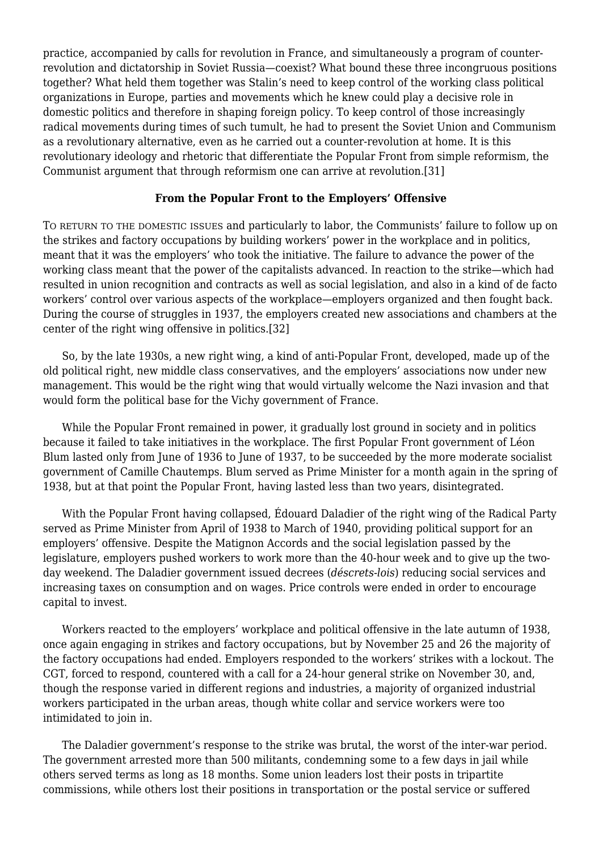practice, accompanied by calls for revolution in France, and simultaneously a program of counterrevolution and dictatorship in Soviet Russia—coexist? What bound these three incongruous positions together? What held them together was Stalin's need to keep control of the working class political organizations in Europe, parties and movements which he knew could play a decisive role in domestic politics and therefore in shaping foreign policy. To keep control of those increasingly radical movements during times of such tumult, he had to present the Soviet Union and Communism as a revolutionary alternative, even as he carried out a counter-revolution at home. It is this revolutionary ideology and rhetoric that differentiate the Popular Front from simple reformism, the Communist argument that through reformism one can arrive at revolution.[31]

# **From the Popular Front to the Employers' Offensive**

TO RETURN TO THE DOMESTIC ISSUES and particularly to labor, the Communists' failure to follow up on the strikes and factory occupations by building workers' power in the workplace and in politics, meant that it was the employers' who took the initiative. The failure to advance the power of the working class meant that the power of the capitalists advanced. In reaction to the strike—which had resulted in union recognition and contracts as well as social legislation, and also in a kind of de facto workers' control over various aspects of the workplace—employers organized and then fought back. During the course of struggles in 1937, the employers created new associations and chambers at the center of the right wing offensive in politics.[32]

 So, by the late 1930s, a new right wing, a kind of anti-Popular Front, developed, made up of the old political right, new middle class conservatives, and the employers' associations now under new management. This would be the right wing that would virtually welcome the Nazi invasion and that would form the political base for the Vichy government of France.

 While the Popular Front remained in power, it gradually lost ground in society and in politics because it failed to take initiatives in the workplace. The first Popular Front government of Léon Blum lasted only from June of 1936 to June of 1937, to be succeeded by the more moderate socialist government of Camille Chautemps. Blum served as Prime Minister for a month again in the spring of 1938, but at that point the Popular Front, having lasted less than two years, disintegrated.

 With the Popular Front having collapsed, Édouard Daladier of the right wing of the Radical Party served as Prime Minister from April of 1938 to March of 1940, providing political support for an employers' offensive. Despite the Matignon Accords and the social legislation passed by the legislature, employers pushed workers to work more than the 40-hour week and to give up the twoday weekend. The Daladier government issued decrees (*déscrets-lois*) reducing social services and increasing taxes on consumption and on wages. Price controls were ended in order to encourage capital to invest.

 Workers reacted to the employers' workplace and political offensive in the late autumn of 1938, once again engaging in strikes and factory occupations, but by November 25 and 26 the majority of the factory occupations had ended. Employers responded to the workers' strikes with a lockout. The CGT, forced to respond, countered with a call for a 24-hour general strike on November 30, and, though the response varied in different regions and industries, a majority of organized industrial workers participated in the urban areas, though white collar and service workers were too intimidated to join in.

 The Daladier government's response to the strike was brutal, the worst of the inter-war period. The government arrested more than 500 militants, condemning some to a few days in jail while others served terms as long as 18 months. Some union leaders lost their posts in tripartite commissions, while others lost their positions in transportation or the postal service or suffered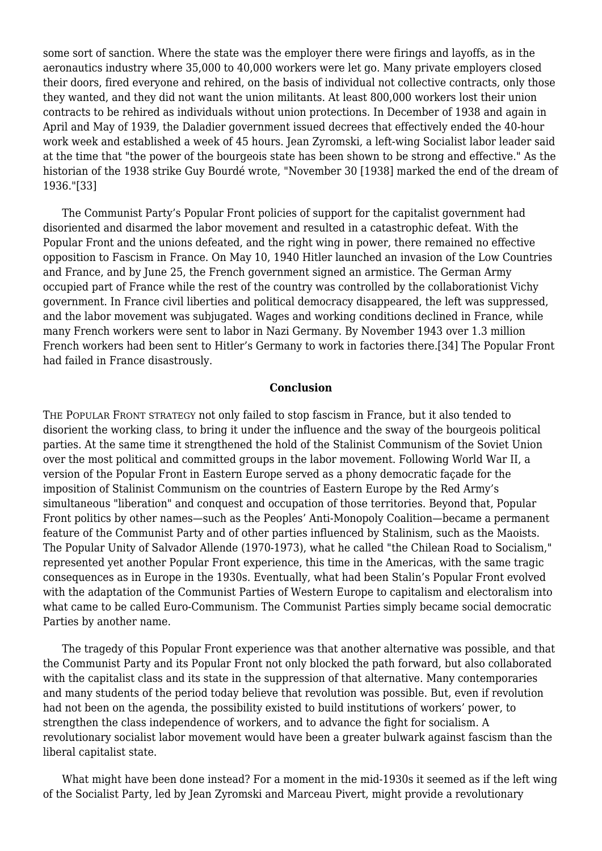some sort of sanction. Where the state was the employer there were firings and layoffs, as in the aeronautics industry where 35,000 to 40,000 workers were let go. Many private employers closed their doors, fired everyone and rehired, on the basis of individual not collective contracts, only those they wanted, and they did not want the union militants. At least 800,000 workers lost their union contracts to be rehired as individuals without union protections. In December of 1938 and again in April and May of 1939, the Daladier government issued decrees that effectively ended the 40-hour work week and established a week of 45 hours. Jean Zyromski, a left-wing Socialist labor leader said at the time that "the power of the bourgeois state has been shown to be strong and effective." As the historian of the 1938 strike Guy Bourdé wrote, "November 30 [1938] marked the end of the dream of 1936."[33]

 The Communist Party's Popular Front policies of support for the capitalist government had disoriented and disarmed the labor movement and resulted in a catastrophic defeat. With the Popular Front and the unions defeated, and the right wing in power, there remained no effective opposition to Fascism in France. On May 10, 1940 Hitler launched an invasion of the Low Countries and France, and by June 25, the French government signed an armistice. The German Army occupied part of France while the rest of the country was controlled by the collaborationist Vichy government. In France civil liberties and political democracy disappeared, the left was suppressed, and the labor movement was subjugated. Wages and working conditions declined in France, while many French workers were sent to labor in Nazi Germany. By November 1943 over 1.3 million French workers had been sent to Hitler's Germany to work in factories there.[34] The Popular Front had failed in France disastrously.

# **Conclusion**

THE POPULAR FRONT STRATEGY not only failed to stop fascism in France, but it also tended to disorient the working class, to bring it under the influence and the sway of the bourgeois political parties. At the same time it strengthened the hold of the Stalinist Communism of the Soviet Union over the most political and committed groups in the labor movement. Following World War II, a version of the Popular Front in Eastern Europe served as a phony democratic façade for the imposition of Stalinist Communism on the countries of Eastern Europe by the Red Army's simultaneous "liberation" and conquest and occupation of those territories. Beyond that, Popular Front politics by other names—such as the Peoples' Anti-Monopoly Coalition—became a permanent feature of the Communist Party and of other parties influenced by Stalinism, such as the Maoists. The Popular Unity of Salvador Allende (1970-1973), what he called "the Chilean Road to Socialism," represented yet another Popular Front experience, this time in the Americas, with the same tragic consequences as in Europe in the 1930s. Eventually, what had been Stalin's Popular Front evolved with the adaptation of the Communist Parties of Western Europe to capitalism and electoralism into what came to be called Euro-Communism. The Communist Parties simply became social democratic Parties by another name.

 The tragedy of this Popular Front experience was that another alternative was possible, and that the Communist Party and its Popular Front not only blocked the path forward, but also collaborated with the capitalist class and its state in the suppression of that alternative. Many contemporaries and many students of the period today believe that revolution was possible. But, even if revolution had not been on the agenda, the possibility existed to build institutions of workers' power, to strengthen the class independence of workers, and to advance the fight for socialism. A revolutionary socialist labor movement would have been a greater bulwark against fascism than the liberal capitalist state.

 What might have been done instead? For a moment in the mid-1930s it seemed as if the left wing of the Socialist Party, led by Jean Zyromski and Marceau Pivert, might provide a revolutionary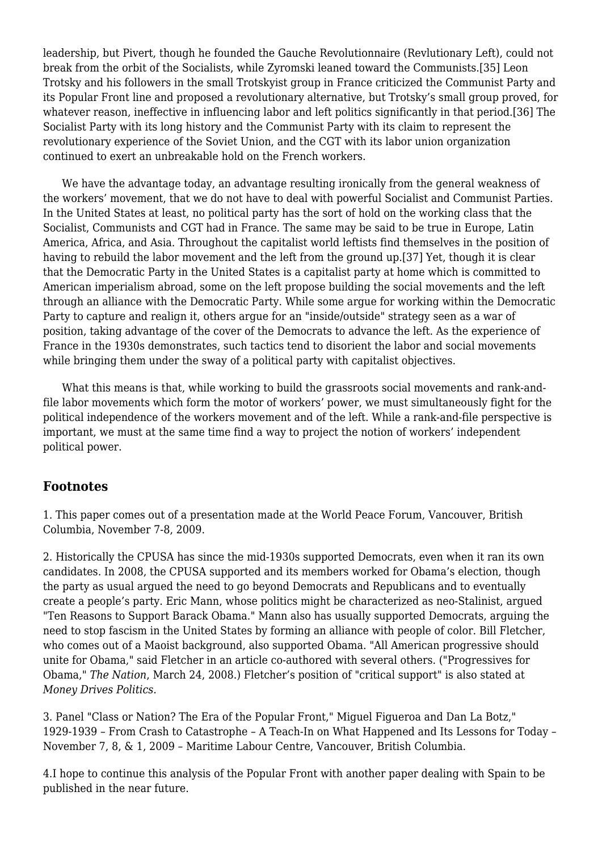leadership, but Pivert, though he founded the Gauche Revolutionnaire (Revlutionary Left), could not break from the orbit of the Socialists, while Zyromski leaned toward the Communists.[35] Leon Trotsky and his followers in the small Trotskyist group in France criticized the Communist Party and its Popular Front line and proposed a revolutionary alternative, but Trotsky's small group proved, for whatever reason, ineffective in influencing labor and left politics significantly in that period.[36] The Socialist Party with its long history and the Communist Party with its claim to represent the revolutionary experience of the Soviet Union, and the CGT with its labor union organization continued to exert an unbreakable hold on the French workers.

 We have the advantage today, an advantage resulting ironically from the general weakness of the workers' movement, that we do not have to deal with powerful Socialist and Communist Parties. In the United States at least, no political party has the sort of hold on the working class that the Socialist, Communists and CGT had in France. The same may be said to be true in Europe, Latin America, Africa, and Asia. Throughout the capitalist world leftists find themselves in the position of having to rebuild the labor movement and the left from the ground up.[37] Yet, though it is clear that the Democratic Party in the United States is a capitalist party at home which is committed to American imperialism abroad, some on the left propose building the social movements and the left through an alliance with the Democratic Party. While some argue for working within the Democratic Party to capture and realign it, others argue for an "inside/outside" strategy seen as a war of position, taking advantage of the cover of the Democrats to advance the left. As the experience of France in the 1930s demonstrates, such tactics tend to disorient the labor and social movements while bringing them under the sway of a political party with capitalist objectives.

 What this means is that, while working to build the grassroots social movements and rank-andfile labor movements which form the motor of workers' power, we must simultaneously fight for the political independence of the workers movement and of the left. While a rank-and-file perspective is important, we must at the same time find a way to project the notion of workers' independent political power.

# **Footnotes**

1. This paper comes out of a presentation made at the World Peace Forum, Vancouver, British Columbia, November 7-8, 2009.

2. Historically the CPUSA has since the mid-1930s supported Democrats, even when it ran its own candidates. In 2008, the CPUSA supported and its members worked for Obama's election, though the party as usual argued the need to go beyond Democrats and Republicans and to eventually create a people's party. Eric Mann, whose politics might be characterized as neo-Stalinist, argued "Ten Reasons to Support Barack Obama." Mann also has usually supported Democrats, arguing the need to stop fascism in the United States by forming an alliance with people of color. Bill Fletcher, who comes out of a Maoist background, also supported Obama. "All American progressive should unite for Obama," said Fletcher in an article co-authored with several others. ("[Progressives for](https://newpol.org/%E2%80%9Dhttp://www.thenation.com/doc/20080407/hayden_et_al%E2%80%9C) [Obama](https://newpol.org/%E2%80%9Dhttp://www.thenation.com/doc/20080407/hayden_et_al%E2%80%9C)," *The Nation*, March 24, 2008.) Fletcher's position of "critical support" is also stated at *[Money Drives Politics](https://newpol.org/%E2%80%9Dhttp://donorsandpolitics.wordpress.com/2008/02/14/critical-support-of-obama-says-bill-fletcher/%E2%80%9D)*.

3. Panel "Class or Nation? The Era of the Popular Front," Miguel Figueroa and Dan La Botz," 1929-1939 – From Crash to Catastrophe – A Teach-In on What Happened and Its Lessons for Today – November 7, 8, & 1, 2009 – Maritime Labour Centre, Vancouver, British Columbia.

4.I hope to continue this analysis of the Popular Front with another paper dealing with Spain to be published in the near future.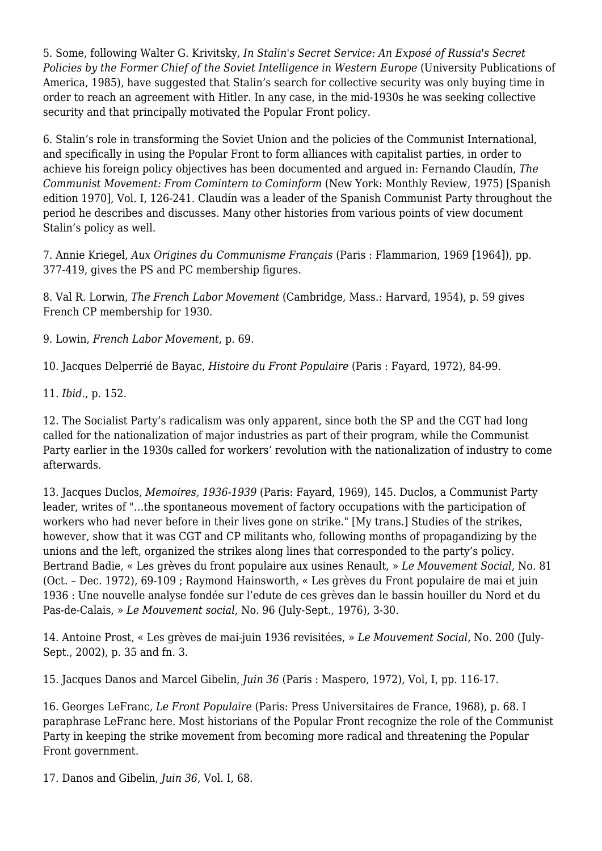5. Some, following Walter G. Krivitsky, *In Stalin's Secret Service: An Exposé of Russia's Secret Policies by the Former Chief of the Soviet Intelligence in Western Europe* (University Publications of America, 1985), have suggested that Stalin's search for collective security was only buying time in order to reach an agreement with Hitler. In any case, in the mid-1930s he was seeking collective security and that principally motivated the Popular Front policy.

6. Stalin's role in transforming the Soviet Union and the policies of the Communist International, and specifically in using the Popular Front to form alliances with capitalist parties, in order to achieve his foreign policy objectives has been documented and argued in: Fernando Claudín, *The Communist Movement: From Comintern to Cominform* (New York: Monthly Review, 1975) [Spanish edition 1970], Vol. I, 126-241. Claudín was a leader of the Spanish Communist Party throughout the period he describes and discusses. Many other histories from various points of view document Stalin's policy as well.

7. Annie Kriegel, *Aux Origines du Communisme Français* (Paris : Flammarion, 1969 [1964]), pp. 377-419, gives the PS and PC membership figures.

8. Val R. Lorwin, *The French Labor Movement* (Cambridge, Mass.: Harvard, 1954), p. 59 gives French CP membership for 1930.

9. Lowin, *French Labor Movement*, p. 69.

10. Jacques Delperrié de Bayac, *Histoire du Front Populaire* (Paris : Fayard, 1972), 84-99.

11. *Ibid.*, p. 152.

12. The Socialist Party's radicalism was only apparent, since both the SP and the CGT had long called for the nationalization of major industries as part of their program, while the Communist Party earlier in the 1930s called for workers' revolution with the nationalization of industry to come afterwards.

13. Jacques Duclos, *Memoires, 1936-1939* (Paris: Fayard, 1969), 145. Duclos, a Communist Party leader, writes of "…the spontaneous movement of factory occupations with the participation of workers who had never before in their lives gone on strike." [My trans.] Studies of the strikes, however, show that it was CGT and CP militants who, following months of propagandizing by the unions and the left, organized the strikes along lines that corresponded to the party's policy. Bertrand Badie, « Les grèves du front populaire aux usines Renault, » *Le Mouvement Social*, No. 81 (Oct. – Dec. 1972), 69-109 ; Raymond Hainsworth, « Les grèves du Front populaire de mai et juin 1936 : Une nouvelle analyse fondée sur l'edute de ces grèves dan le bassin houiller du Nord et du Pas-de-Calais, » *Le Mouvement social*, No. 96 (July-Sept., 1976), 3-30.

14. Antoine Prost, « Les grèves de mai-juin 1936 revisitées, » *Le Mouvement Social*, No. 200 (July-Sept., 2002), p. 35 and fn. 3.

15. Jacques Danos and Marcel Gibelin, *Juin 36* (Paris : Maspero, 1972), Vol, I, pp. 116-17.

16. Georges LeFranc, *Le Front Populaire* (Paris: Press Universitaires de France, 1968), p. 68. I paraphrase LeFranc here. Most historians of the Popular Front recognize the role of the Communist Party in keeping the strike movement from becoming more radical and threatening the Popular Front government.

17. Danos and Gibelin, *Juin 36*, Vol. I, 68.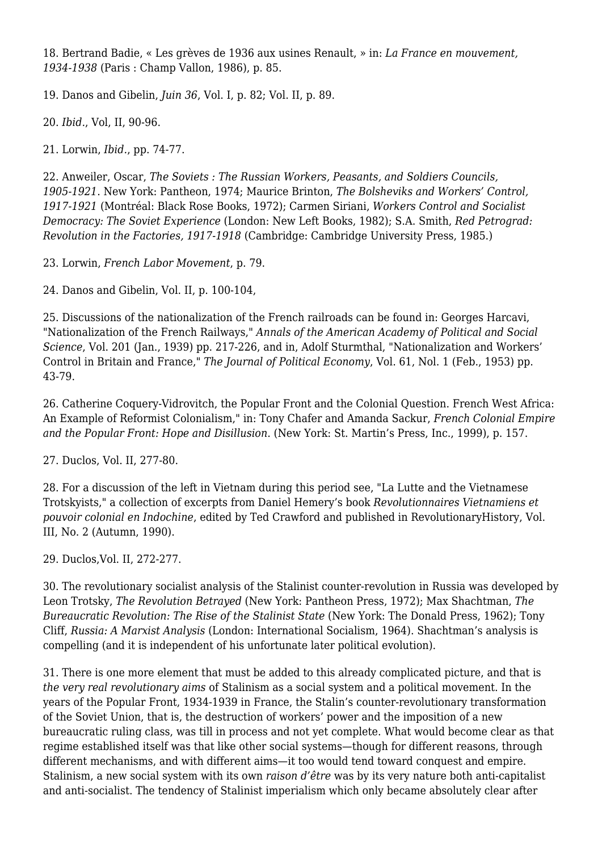18. Bertrand Badie, « Les grèves de 1936 aux usines Renault, » in: *La France en mouvement, 1934-1938* (Paris : Champ Vallon, 1986), p. 85.

19. Danos and Gibelin, *Juin 36*, Vol. I, p. 82; Vol. II, p. 89.

20. *Ibid.*, Vol, II, 90-96.

21. Lorwin, *Ibid.*, pp. 74-77.

22. Anweiler, Oscar, *The Soviets : The Russian Workers, Peasants, and Soldiers Councils, 1905-1921*. New York: Pantheon, 1974; Maurice Brinton, *The Bolsheviks and Workers' Control, 1917-1921* (Montréal: Black Rose Books, 1972); Carmen Siriani, *Workers Control and Socialist Democracy: The Soviet Experience* (London: New Left Books, 1982); S.A. Smith, *Red Petrograd: Revolution in the Factories, 1917-1918* (Cambridge: Cambridge University Press, 1985.)

23. Lorwin, *French Labor Movement*, p. 79.

24. Danos and Gibelin, Vol. II, p. 100-104,

25. Discussions of the nationalization of the French railroads can be found in: Georges Harcavi, "Nationalization of the French Railways," *Annals of the American Academy of Political and Social Science*, Vol. 201 (Jan., 1939) pp. 217-226, and in, Adolf Sturmthal, "Nationalization and Workers' Control in Britain and France," *The Journal of Political Economy*, Vol. 61, Nol. 1 (Feb., 1953) pp. 43-79.

26. Catherine Coquery-Vidrovitch, the Popular Front and the Colonial Question. French West Africa: An Example of Reformist Colonialism," in: Tony Chafer and Amanda Sackur, *French Colonial Empire and the Popular Front: Hope and Disillusion*. (New York: St. Martin's Press, Inc., 1999), p. 157.

27. Duclos, Vol. II, 277-80.

28. For a discussion of the left in Vietnam during this period see, ["La Lutte and the Vietnamese](https://newpol.org/%E2%80%9Dhttp://www.marxists.org/history/etol/revhist/backiss/vol3/no2/hemery.htm%E2%80%9C) [Trotskyists,](https://newpol.org/%E2%80%9Dhttp://www.marxists.org/history/etol/revhist/backiss/vol3/no2/hemery.htm%E2%80%9C)" a collection of excerpts from Daniel Hemery's book *Revolutionnaires Vietnamiens et pouvoir colonial en Indochine*, edited by Ted Crawford and published in RevolutionaryHistory, Vol. III, No. 2 (Autumn, 1990).

29. Duclos,Vol. II, 272-277.

30. The revolutionary socialist analysis of the Stalinist counter-revolution in Russia was developed by Leon Trotsky, *The Revolution Betrayed* (New York: Pantheon Press, 1972); Max Shachtman, *The Bureaucratic Revolution: The Rise of the Stalinist State* (New York: The Donald Press, 1962); Tony Cliff, *Russia: A Marxist Analysis* (London: International Socialism, 1964). Shachtman's analysis is compelling (and it is independent of his unfortunate later political evolution).

31. There is one more element that must be added to this already complicated picture, and that is *the very real revolutionary aims* of Stalinism as a social system and a political movement. In the years of the Popular Front, 1934-1939 in France, the Stalin's counter-revolutionary transformation of the Soviet Union, that is, the destruction of workers' power and the imposition of a new bureaucratic ruling class, was till in process and not yet complete. What would become clear as that regime established itself was that like other social systems—though for different reasons, through different mechanisms, and with different aims—it too would tend toward conquest and empire. Stalinism, a new social system with its own *raison d'être* was by its very nature both anti-capitalist and anti-socialist. The tendency of Stalinist imperialism which only became absolutely clear after